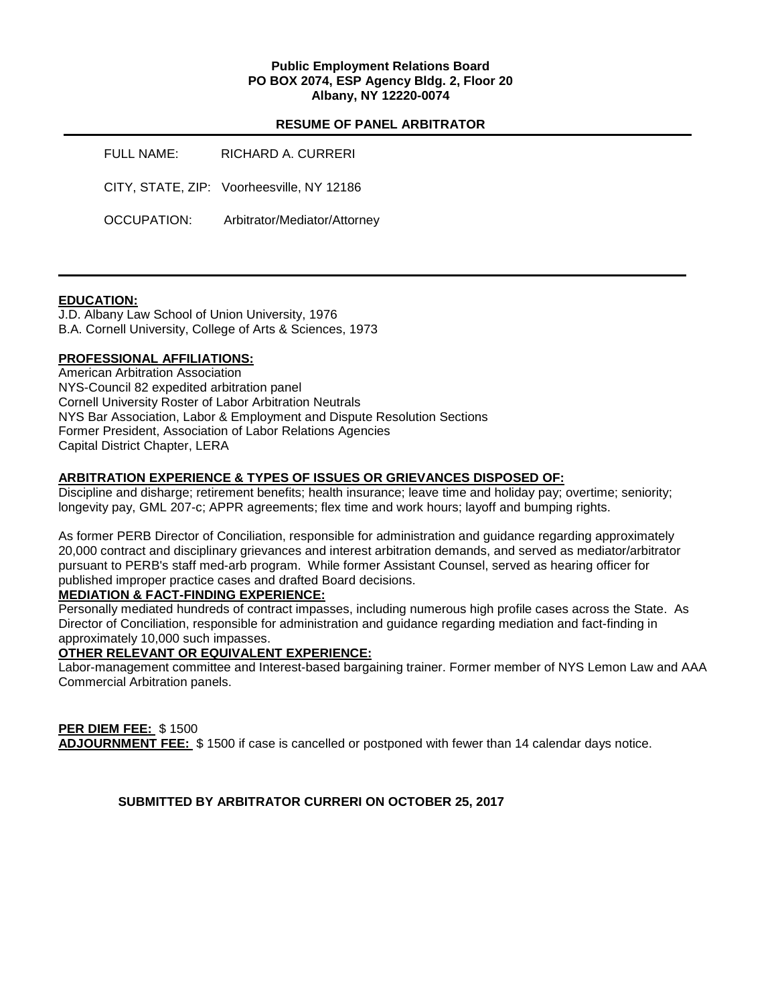## **Public Employment Relations Board PO BOX 2074, ESP Agency Bldg. 2, Floor 20 Albany, NY 12220-0074**

# **RESUME OF PANEL ARBITRATOR**

FULL NAME: RICHARD A. CURRERI CITY, STATE, ZIP: Voorheesville, NY 12186 OCCUPATION: Arbitrator/Mediator/Attorney

## **EDUCATION:**

J.D. Albany Law School of Union University, 1976 B.A. Cornell University, College of Arts & Sciences, 1973

# **PROFESSIONAL AFFILIATIONS:**

American Arbitration Association NYS-Council 82 expedited arbitration panel Cornell University Roster of Labor Arbitration Neutrals NYS Bar Association, Labor & Employment and Dispute Resolution Sections Former President, Association of Labor Relations Agencies Capital District Chapter, LERA

# **ARBITRATION EXPERIENCE & TYPES OF ISSUES OR GRIEVANCES DISPOSED OF:**

Discipline and disharge; retirement benefits; health insurance; leave time and holiday pay; overtime; seniority; longevity pay, GML 207-c; APPR agreements; flex time and work hours; layoff and bumping rights.

As former PERB Director of Conciliation, responsible for administration and guidance regarding approximately 20,000 contract and disciplinary grievances and interest arbitration demands, and served as mediator/arbitrator pursuant to PERB's staff med-arb program. While former Assistant Counsel, served as hearing officer for published improper practice cases and drafted Board decisions.

## **MEDIATION & FACT-FINDING EXPERIENCE:**

Personally mediated hundreds of contract impasses, including numerous high profile cases across the State. As Director of Conciliation, responsible for administration and guidance regarding mediation and fact-finding in approximately 10,000 such impasses.

## **OTHER RELEVANT OR EQUIVALENT EXPERIENCE:**

Labor-management committee and Interest-based bargaining trainer. Former member of NYS Lemon Law and AAA Commercial Arbitration panels.

# **PER DIEM FEE:** \$ 1500

**ADJOURNMENT FEE:** \$ 1500 if case is cancelled or postponed with fewer than 14 calendar days notice.

**SUBMITTED BY ARBITRATOR CURRERI ON OCTOBER 25, 2017**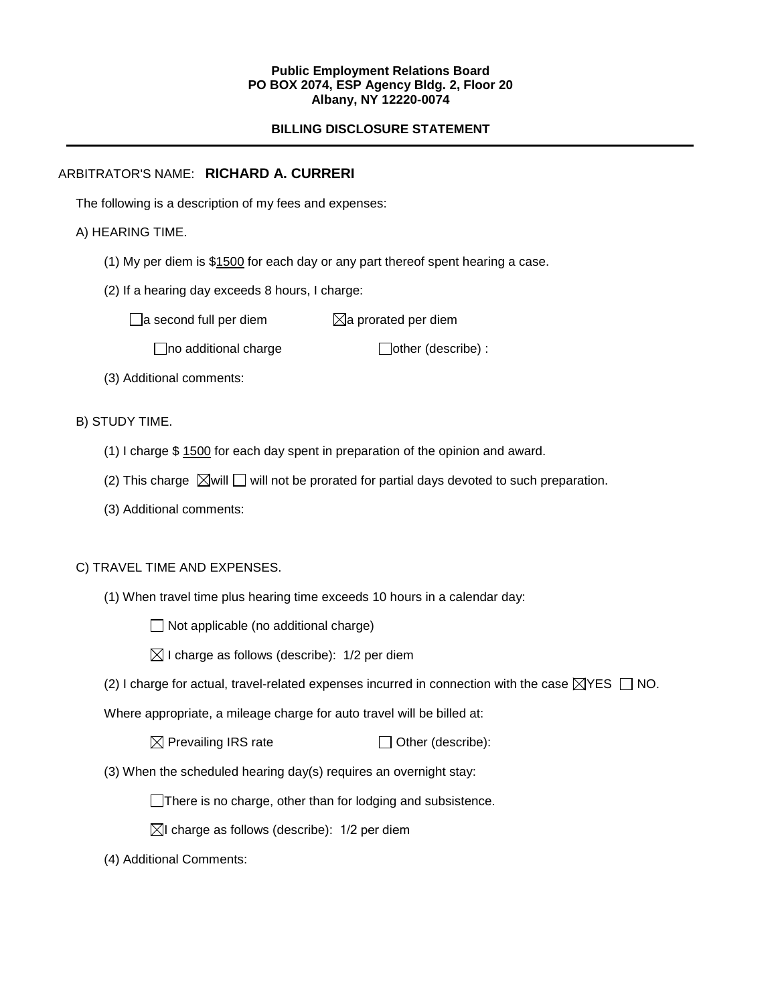#### **Public Employment Relations Board PO BOX 2074, ESP Agency Bldg. 2, Floor 20 Albany, NY 12220-0074**

# **BILLING DISCLOSURE STATEMENT**

# ARBITRATOR'S NAME: **RICHARD A. CURRERI**

The following is a description of my fees and expenses:

# A) HEARING TIME.

- (1) My per diem is \$1500 for each day or any part thereof spent hearing a case.
- (2) If a hearing day exceeds 8 hours, I charge:

 $\Box$ a second full per diem  $\boxtimes$ a prorated per diem

 $\Box$ no additional charge  $\Box$ other (describe) :

(3) Additional comments:

B) STUDY TIME.

- (1) I charge \$ 1500 for each day spent in preparation of the opinion and award.
- (2) This charge  $\boxtimes$  will  $\Box$  will not be prorated for partial days devoted to such preparation.
- (3) Additional comments:

## C) TRAVEL TIME AND EXPENSES.

(1) When travel time plus hearing time exceeds 10 hours in a calendar day:

 $\Box$  Not applicable (no additional charge)

- $\boxtimes$  I charge as follows (describe): 1/2 per diem
- (2) I charge for actual, travel-related expenses incurred in connection with the case  $\boxtimes$ YES  $\Box$  NO.

Where appropriate, a mileage charge for auto travel will be billed at:

 $\boxtimes$  Prevailing IRS rate  $\Box$  Other (describe):

(3) When the scheduled hearing day(s) requires an overnight stay:

There is no charge, other than for lodging and subsistence.

 $\boxtimes$ I charge as follows (describe): 1/2 per diem

(4) Additional Comments: